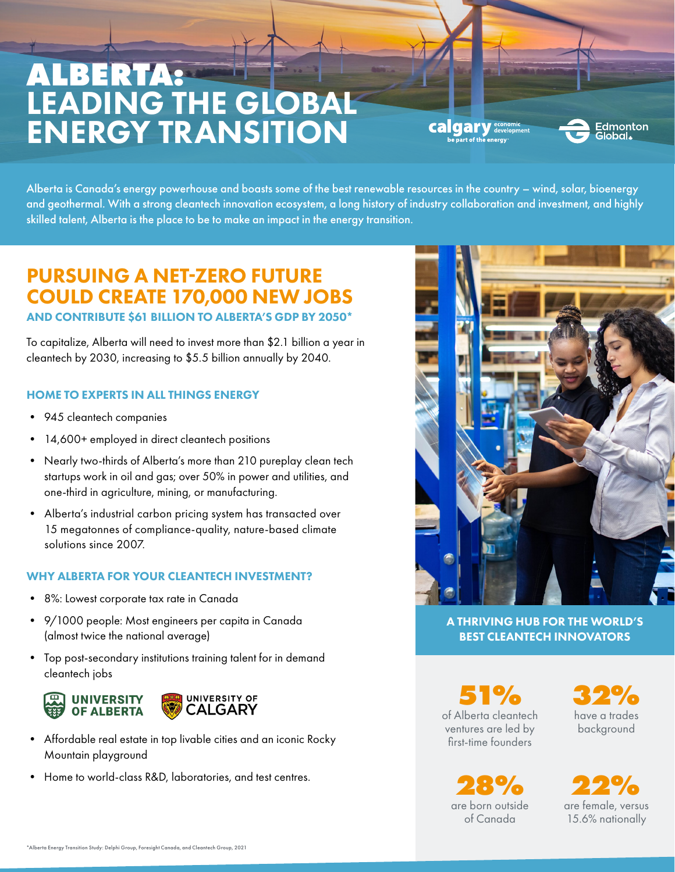# **ALBERTA:** LEADING THE GLOBAL ENERGY TRANSITION

**calgary** <sub>.</sub><br>Irt of the energy



Alberta is Canada's energy powerhouse and boasts some of the best renewable resources in the country – wind, solar, bioenergy and geothermal. With a strong cleantech innovation ecosystem, a long history of industry collaboration and investment, and highly skilled talent, Alberta is the place to be to make an impact in the energy transition.

### PURSUING A NET-ZERO FUTURE COULD CREATE 170,000 NEW JOBS

AND CONTRIBUTE \$61 BILLION TO ALBERTA'S GDP BY 2050\*

To capitalize, Alberta will need to invest more than \$2.1 billion a year in cleantech by 2030, increasing to \$5.5 billion annually by 2040.

#### HOME TO EXPERTS IN ALL THINGS ENERGY

- 945 cleantech companies
- 14,600+ employed in direct cleantech positions
- Nearly two-thirds of Alberta's more than 210 pureplay clean tech startups work in oil and gas; over 50% in power and utilities, and one-third in agriculture, mining, or manufacturing.
- Alberta's industrial carbon pricing system has transacted over 15 megatonnes of compliance-quality, nature-based climate solutions since 2007.

#### WHY ALBERTA FOR YOUR CLEANTECH INVESTMENT?

- 8%: Lowest corporate tax rate in Canada
- 9/1000 people: Most engineers per capita in Canada (almost twice the national average)
- Top post-secondary institutions training talent for in demand cleantech jobs



- Affordable real estate in top livable cities and an iconic Rocky Mountain playground
- Home to world-class R&D, laboratories, and test centres.



A THRIVING HUB FOR THE WORLD'S BEST CLEANTECH INNOVATORS

**51%** of Alberta cleantech ventures are led by first-time founders

**32%** have a trades background

**28% 22%** are born outside of Canada

are female, versus 15.6% nationally